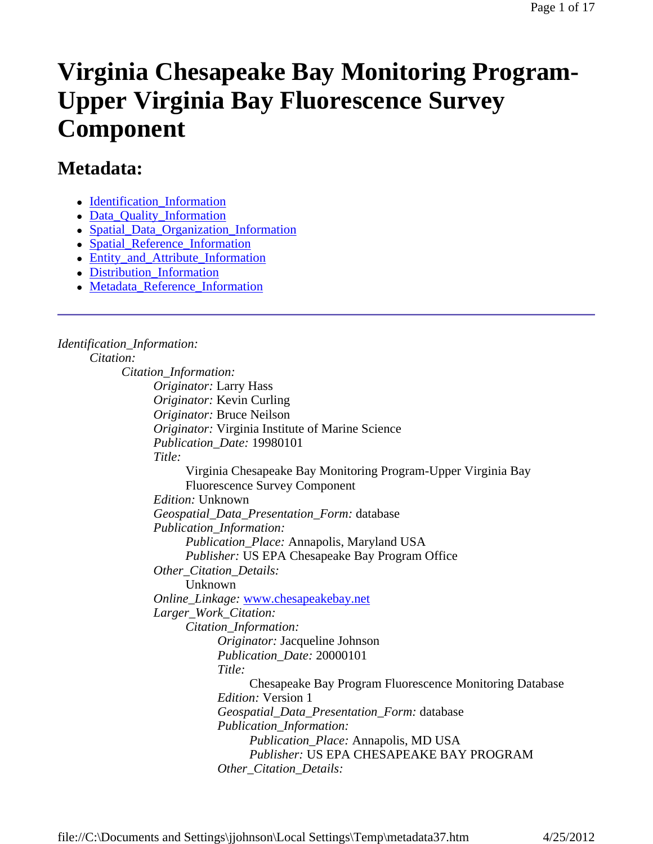# **Virginia Chesapeake Bay Monitoring Program-Upper Virginia Bay Fluorescence Survey Component**

# **Metadata:**

- Identification Information
- Data Quality Information
- Spatial\_Data\_Organization\_Information
- Spatial Reference Information
- Entity\_and\_Attribute\_Information
- Distribution Information
- Metadata\_Reference\_Information

*Identification\_Information: Citation: Citation\_Information: Originator:* Larry Hass *Originator:* Kevin Curling *Originator:* Bruce Neilson *Originator:* Virginia Institute of Marine Science *Publication\_Date:* 19980101 *Title:* Virginia Chesapeake Bay Monitoring Program-Upper Virginia Bay Fluorescence Survey Component *Edition:* Unknown *Geospatial\_Data\_Presentation\_Form:* database *Publication\_Information: Publication\_Place:* Annapolis, Maryland USA *Publisher:* US EPA Chesapeake Bay Program Office *Other\_Citation\_Details:* Unknown *Online\_Linkage:* www.chesapeakebay.net *Larger\_Work\_Citation: Citation\_Information: Originator:* Jacqueline Johnson *Publication\_Date:* 20000101 *Title:* Chesapeake Bay Program Fluorescence Monitoring Database *Edition:* Version 1 *Geospatial\_Data\_Presentation\_Form:* database *Publication\_Information: Publication\_Place:* Annapolis, MD USA *Publisher:* US EPA CHESAPEAKE BAY PROGRAM *Other\_Citation\_Details:*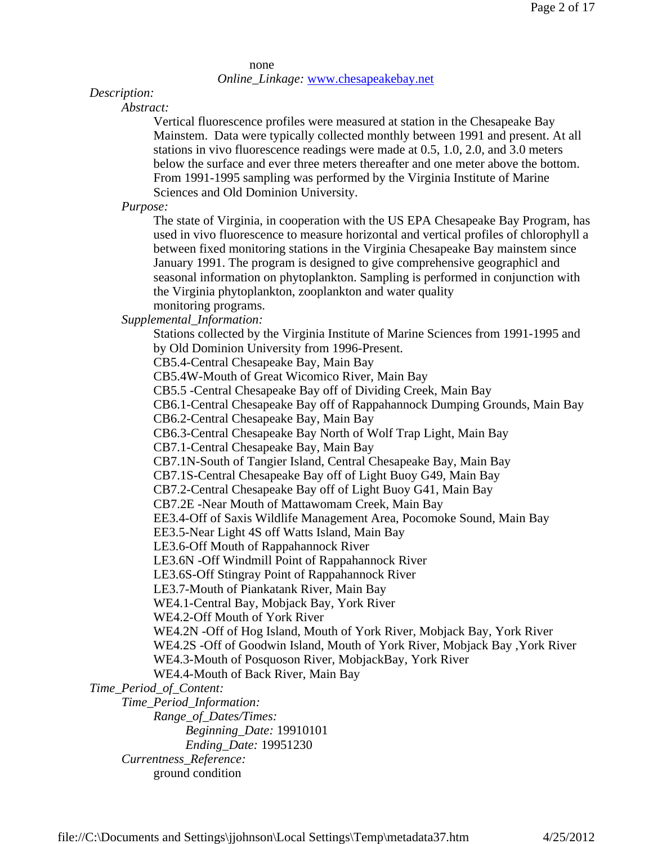none *Online\_Linkage:* www.chesapeakebay.net

#### *Description:*

*Abstract:*

Vertical fluorescence profiles were measured at station in the Chesapeake Bay Mainstem. Data were typically collected monthly between 1991 and present. At all stations in vivo fluorescence readings were made at 0.5, 1.0, 2.0, and 3.0 meters below the surface and ever three meters thereafter and one meter above the bottom. From 1991-1995 sampling was performed by the Virginia Institute of Marine Sciences and Old Dominion University.

*Purpose:*

The state of Virginia, in cooperation with the US EPA Chesapeake Bay Program, has used in vivo fluorescence to measure horizontal and vertical profiles of chlorophyll a between fixed monitoring stations in the Virginia Chesapeake Bay mainstem since January 1991. The program is designed to give comprehensive geographicl and seasonal information on phytoplankton. Sampling is performed in conjunction with the Virginia phytoplankton, zooplankton and water quality monitoring programs.

*Supplemental\_Information:*

Stations collected by the Virginia Institute of Marine Sciences from 1991-1995 and by Old Dominion University from 1996-Present.

CB5.4-Central Chesapeake Bay, Main Bay

CB5.4W-Mouth of Great Wicomico River, Main Bay

CB5.5 -Central Chesapeake Bay off of Dividing Creek, Main Bay

CB6.1-Central Chesapeake Bay off of Rappahannock Dumping Grounds, Main Bay

CB6.2-Central Chesapeake Bay, Main Bay

CB6.3-Central Chesapeake Bay North of Wolf Trap Light, Main Bay

CB7.1-Central Chesapeake Bay, Main Bay

CB7.1N-South of Tangier Island, Central Chesapeake Bay, Main Bay

CB7.1S-Central Chesapeake Bay off of Light Buoy G49, Main Bay

CB7.2-Central Chesapeake Bay off of Light Buoy G41, Main Bay

CB7.2E -Near Mouth of Mattawomam Creek, Main Bay

EE3.4-Off of Saxis Wildlife Management Area, Pocomoke Sound, Main Bay

EE3.5-Near Light 4S off Watts Island, Main Bay

LE3.6-Off Mouth of Rappahannock River

LE3.6N -Off Windmill Point of Rappahannock River

LE3.6S-Off Stingray Point of Rappahannock River

LE3.7-Mouth of Piankatank River, Main Bay

WE4.1-Central Bay, Mobjack Bay, York River

WE4.2-Off Mouth of York River

WE4.2N -Off of Hog Island, Mouth of York River, Mobjack Bay, York River

WE4.2S -Off of Goodwin Island, Mouth of York River, Mobjack Bay ,York River

WE4.3-Mouth of Posquoson River, MobjackBay, York River

WE4.4-Mouth of Back River, Main Bay

*Time\_Period\_of\_Content:*

*Time\_Period\_Information:*

*Range\_of\_Dates/Times:*

*Beginning\_Date:* 19910101

*Ending\_Date:* 19951230

*Currentness\_Reference:* ground condition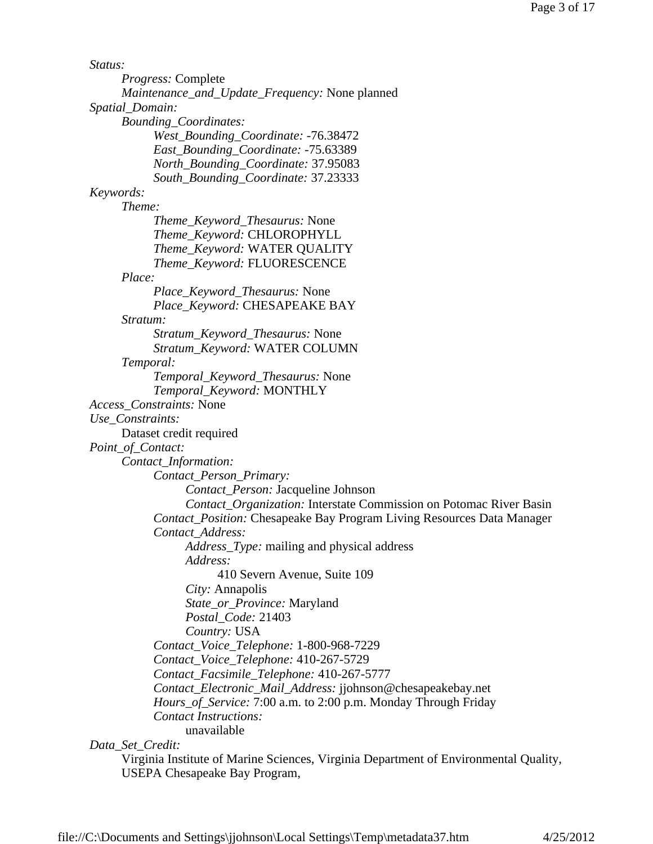*Status: Progress:* Complete *Maintenance\_and\_Update\_Frequency:* None planned *Spatial\_Domain: Bounding\_Coordinates: West\_Bounding\_Coordinate:* -76.38472 *East\_Bounding\_Coordinate:* -75.63389 *North\_Bounding\_Coordinate:* 37.95083 *South\_Bounding\_Coordinate:* 37.23333 *Keywords: Theme: Theme\_Keyword\_Thesaurus:* None *Theme\_Keyword:* CHLOROPHYLL *Theme\_Keyword:* WATER QUALITY *Theme\_Keyword:* FLUORESCENCE *Place: Place\_Keyword\_Thesaurus:* None *Place\_Keyword:* CHESAPEAKE BAY *Stratum: Stratum\_Keyword\_Thesaurus:* None *Stratum\_Keyword:* WATER COLUMN *Temporal: Temporal\_Keyword\_Thesaurus:* None *Temporal\_Keyword:* MONTHLY *Access\_Constraints:* None *Use\_Constraints:* Dataset credit required *Point\_of\_Contact: Contact\_Information: Contact\_Person\_Primary: Contact\_Person:* Jacqueline Johnson *Contact\_Organization:* Interstate Commission on Potomac River Basin *Contact\_Position:* Chesapeake Bay Program Living Resources Data Manager *Contact\_Address: Address\_Type:* mailing and physical address *Address:* 410 Severn Avenue, Suite 109 *City:* Annapolis *State\_or\_Province:* Maryland *Postal\_Code:* 21403 *Country:* USA *Contact\_Voice\_Telephone:* 1-800-968-7229 *Contact\_Voice\_Telephone:* 410-267-5729 *Contact\_Facsimile\_Telephone:* 410-267-5777 *Contact\_Electronic\_Mail\_Address:* jjohnson@chesapeakebay.net *Hours\_of\_Service:* 7:00 a.m. to 2:00 p.m. Monday Through Friday *Contact Instructions:* unavailable

*Data\_Set\_Credit:*

Virginia Institute of Marine Sciences, Virginia Department of Environmental Quality, USEPA Chesapeake Bay Program,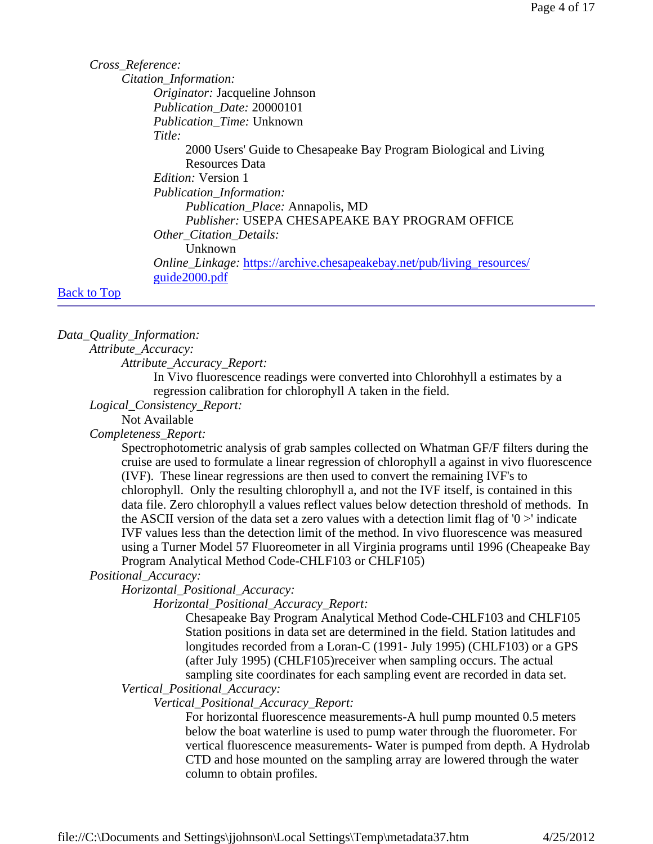*Cross\_Reference: Citation\_Information: Originator:* Jacqueline Johnson *Publication\_Date:* 20000101 *Publication\_Time:* Unknown *Title:* 2000 Users' Guide to Chesapeake Bay Program Biological and Living Resources Data *Edition:* Version 1 *Publication\_Information: Publication\_Place:* Annapolis, MD *Publisher:* USEPA CHESAPEAKE BAY PROGRAM OFFICE *Other\_Citation\_Details:* Unknown *Online\_Linkage:* https://archive.chesapeakebay.net/pub/living\_resources/ guide2000.pdf

#### Back to Top

#### *Data\_Quality\_Information:*

*Attribute\_Accuracy:*

*Attribute\_Accuracy\_Report:*

In Vivo fluorescence readings were converted into Chlorohhyll a estimates by a regression calibration for chlorophyll A taken in the field.

*Logical\_Consistency\_Report:*

Not Available

*Completeness\_Report:*

Spectrophotometric analysis of grab samples collected on Whatman GF/F filters during the cruise are used to formulate a linear regression of chlorophyll a against in vivo fluorescence (IVF). These linear regressions are then used to convert the remaining IVF's to chlorophyll. Only the resulting chlorophyll a, and not the IVF itself, is contained in this data file. Zero chlorophyll a values reflect values below detection threshold of methods. In the ASCII version of the data set a zero values with a detection limit flag of  $0$  >' indicate IVF values less than the detection limit of the method. In vivo fluorescence was measured using a Turner Model 57 Fluoreometer in all Virginia programs until 1996 (Cheapeake Bay Program Analytical Method Code-CHLF103 or CHLF105)

# *Positional\_Accuracy:*

*Horizontal\_Positional\_Accuracy:*

*Horizontal\_Positional\_Accuracy\_Report:*

Chesapeake Bay Program Analytical Method Code-CHLF103 and CHLF105 Station positions in data set are determined in the field. Station latitudes and longitudes recorded from a Loran-C (1991- July 1995) (CHLF103) or a GPS (after July 1995) (CHLF105)receiver when sampling occurs. The actual sampling site coordinates for each sampling event are recorded in data set.

*Vertical\_Positional\_Accuracy:*

*Vertical\_Positional\_Accuracy\_Report:*

For horizontal fluorescence measurements-A hull pump mounted 0.5 meters below the boat waterline is used to pump water through the fluorometer. For vertical fluorescence measurements- Water is pumped from depth. A Hydrolab CTD and hose mounted on the sampling array are lowered through the water column to obtain profiles.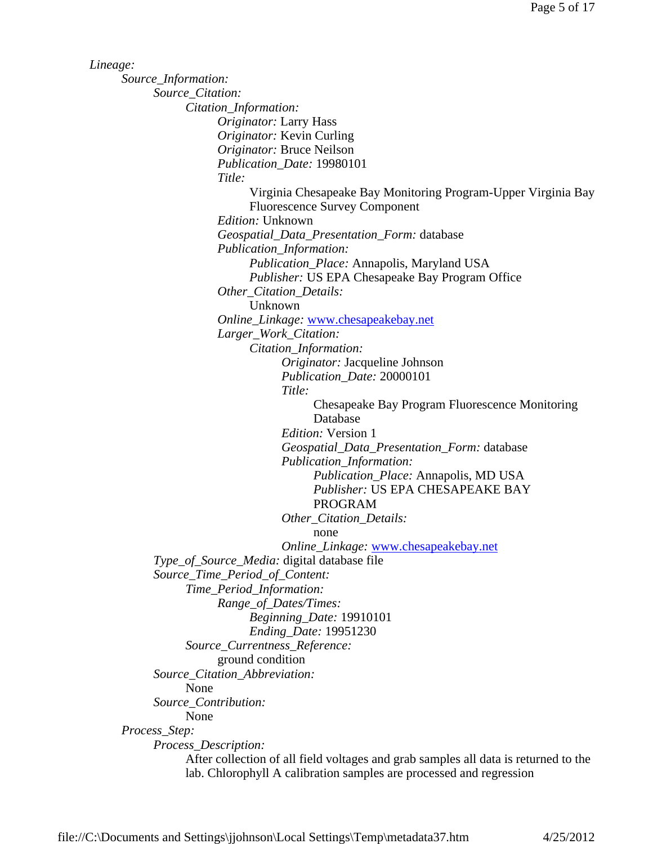*Lineage: Source\_Information: Source\_Citation: Citation\_Information: Originator:* Larry Hass *Originator:* Kevin Curling *Originator:* Bruce Neilson *Publication\_Date:* 19980101 *Title:* Virginia Chesapeake Bay Monitoring Program-Upper Virginia Bay Fluorescence Survey Component *Edition:* Unknown *Geospatial\_Data\_Presentation\_Form:* database *Publication\_Information: Publication\_Place:* Annapolis, Maryland USA *Publisher:* US EPA Chesapeake Bay Program Office *Other\_Citation\_Details:* Unknown *Online\_Linkage:* www.chesapeakebay.net *Larger\_Work\_Citation: Citation\_Information: Originator:* Jacqueline Johnson *Publication\_Date:* 20000101 *Title:* Chesapeake Bay Program Fluorescence Monitoring Database *Edition:* Version 1 *Geospatial\_Data\_Presentation\_Form:* database *Publication\_Information: Publication\_Place:* Annapolis, MD USA *Publisher:* US EPA CHESAPEAKE BAY PROGRAM *Other\_Citation\_Details:* none *Online\_Linkage:* www.chesapeakebay.net *Type\_of\_Source\_Media:* digital database file *Source\_Time\_Period\_of\_Content: Time\_Period\_Information: Range\_of\_Dates/Times: Beginning\_Date:* 19910101 *Ending\_Date:* 19951230 *Source\_Currentness\_Reference:* ground condition *Source\_Citation\_Abbreviation:* None *Source\_Contribution:* None *Process\_Step: Process\_Description:* After collection of all field voltages and grab samples all data is returned to the lab. Chlorophyll A calibration samples are processed and regression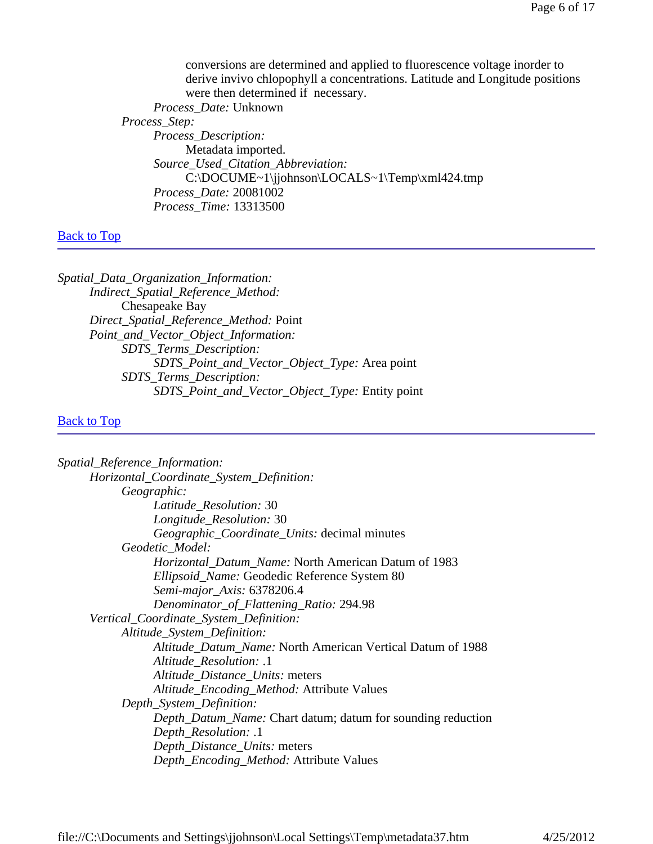conversions are determined and applied to fluorescence voltage inorder to derive invivo chlopophyll a concentrations. Latitude and Longitude positions were then determined if necessary. *Process\_Date:* Unknown *Process\_Step: Process\_Description:* Metadata imported. *Source\_Used\_Citation\_Abbreviation:* C:\DOCUME~1\jjohnson\LOCALS~1\Temp\xml424.tmp *Process\_Date:* 20081002 *Process\_Time:* 13313500

# Back to Top

*Spatial\_Data\_Organization\_Information: Indirect\_Spatial\_Reference\_Method:* Chesapeake Bay *Direct\_Spatial\_Reference\_Method:* Point *Point\_and\_Vector\_Object\_Information: SDTS\_Terms\_Description: SDTS\_Point\_and\_Vector\_Object\_Type:* Area point *SDTS\_Terms\_Description: SDTS\_Point\_and\_Vector\_Object\_Type:* Entity point

# Back to Top

| Spatial_Reference_Information:                                     |
|--------------------------------------------------------------------|
| Horizontal_Coordinate_System_Definition:                           |
| Geographic:                                                        |
| Latitude_Resolution: 30                                            |
| Longitude_Resolution: 30                                           |
| <i>Geographic_Coordinate_Units:</i> decimal minutes                |
| Geodetic Model:                                                    |
| <i>Horizontal_Datum_Name:</i> North American Datum of 1983         |
| Ellipsoid_Name: Geodedic Reference System 80                       |
| Semi-major_Axis: 6378206.4                                         |
| Denominator_of_Flattening_Ratio: 294.98                            |
| Vertical_Coordinate_System_Definition:                             |
| Altitude_System_Definition:                                        |
| Altitude_Datum_Name: North American Vertical Datum of 1988         |
| Altitude_Resolution: .1                                            |
| Altitude_Distance_Units: meters                                    |
| Altitude_Encoding_Method: Attribute Values                         |
| Depth_System_Definition:                                           |
| <i>Depth_Datum_Name:</i> Chart datum; datum for sounding reduction |
| Depth_Resolution: .1                                               |
| Depth_Distance_Units: meters                                       |
| Depth_Encoding_Method: Attribute Values                            |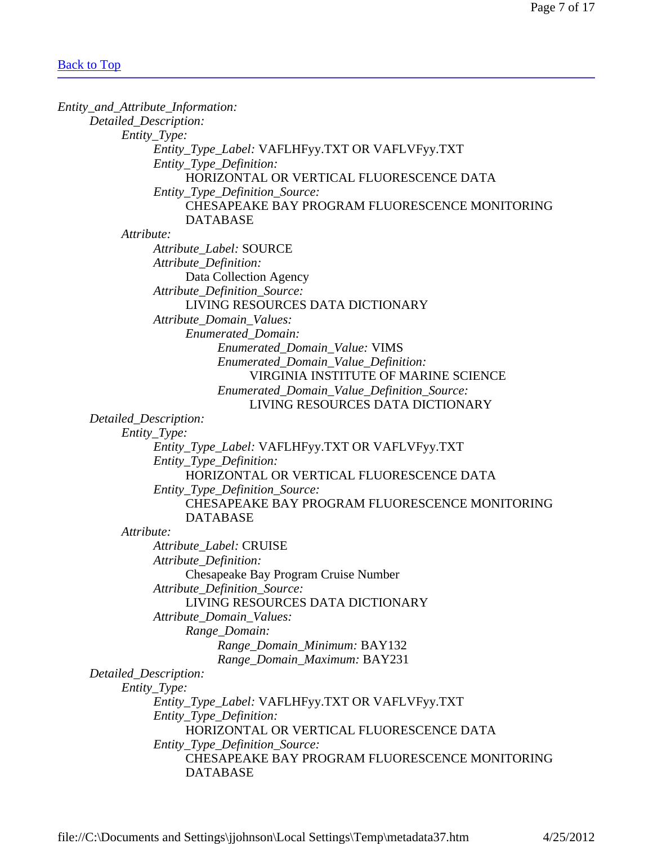| Entity_and_Attribute_Information:               |  |
|-------------------------------------------------|--|
| Detailed_Description:                           |  |
| Entity_Type:                                    |  |
| Entity_Type_Label: VAFLHFyy.TXT OR VAFLVFyy.TXT |  |
| Entity_Type_Definition:                         |  |
| HORIZONTAL OR VERTICAL FLUORESCENCE DATA        |  |
| Entity_Type_Definition_Source:                  |  |
| CHESAPEAKE BAY PROGRAM FLUORESCENCE MONITORING  |  |
| <b>DATABASE</b>                                 |  |
| Attribute:                                      |  |
| Attribute_Label: SOURCE                         |  |
| Attribute_Definition:                           |  |
| Data Collection Agency                          |  |
| Attribute_Definition_Source:                    |  |
| LIVING RESOURCES DATA DICTIONARY                |  |
| Attribute_Domain_Values:                        |  |
| <b>Enumerated Domain:</b>                       |  |
| Enumerated_Domain_Value: VIMS                   |  |
| Enumerated_Domain_Value_Definition:             |  |
| VIRGINIA INSTITUTE OF MARINE SCIENCE            |  |
| Enumerated_Domain_Value_Definition_Source:      |  |
| LIVING RESOURCES DATA DICTIONARY                |  |
| Detailed_Description:                           |  |
| Entity_Type:                                    |  |
| Entity_Type_Label: VAFLHFyy.TXT OR VAFLVFyy.TXT |  |
| Entity_Type_Definition:                         |  |
| HORIZONTAL OR VERTICAL FLUORESCENCE DATA        |  |
| Entity_Type_Definition_Source:                  |  |
| CHESAPEAKE BAY PROGRAM FLUORESCENCE MONITORING  |  |
| <b>DATABASE</b>                                 |  |
| Attribute:                                      |  |
| Attribute_Label: CRUISE                         |  |
| Attribute_Definition:                           |  |
| Chesapeake Bay Program Cruise Number            |  |
| Attribute_Definition_Source:                    |  |
| LIVING RESOURCES DATA DICTIONARY                |  |
| Attribute_Domain_Values:                        |  |
| Range_Domain:                                   |  |
| Range_Domain_Minimum: BAY132                    |  |
| Range_Domain_Maximum: BAY231                    |  |
| Detailed_Description:                           |  |
| Entity_Type:                                    |  |
| Entity_Type_Label: VAFLHFyy.TXT OR VAFLVFyy.TXT |  |
| Entity_Type_Definition:                         |  |
| HORIZONTAL OR VERTICAL FLUORESCENCE DATA        |  |
| Entity_Type_Definition_Source:                  |  |
| CHESAPEAKE BAY PROGRAM FLUORESCENCE MONITORING  |  |
| <b>DATABASE</b>                                 |  |
|                                                 |  |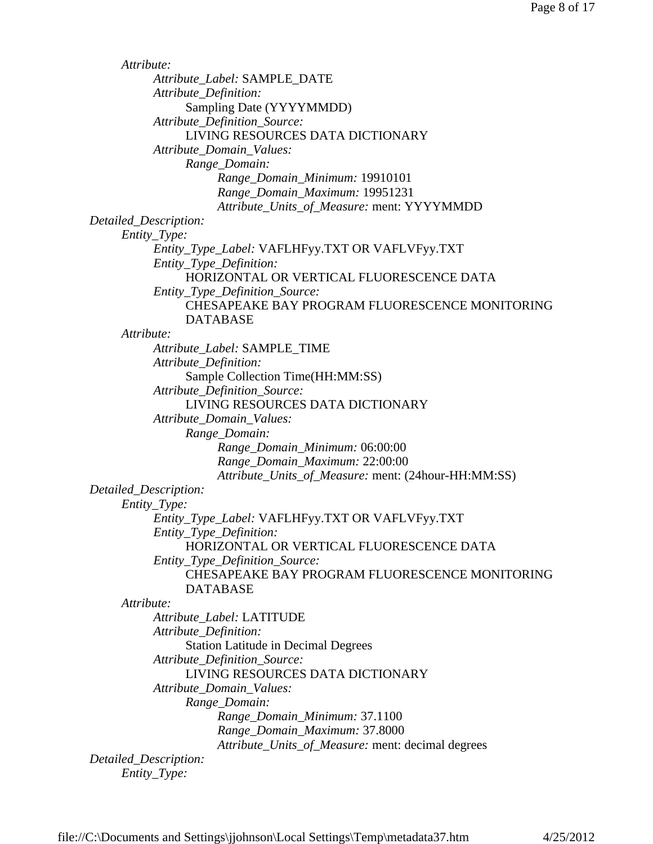*Attribute: Attribute\_Label:* SAMPLE\_DATE *Attribute\_Definition:* Sampling Date (YYYYMMDD) *Attribute\_Definition\_Source:* LIVING RESOURCES DATA DICTIONARY *Attribute\_Domain\_Values: Range\_Domain: Range\_Domain\_Minimum:* 19910101 *Range\_Domain\_Maximum:* 19951231 *Attribute\_Units\_of\_Measure:* ment: YYYYMMDD *Detailed\_Description: Entity\_Type: Entity\_Type\_Label:* VAFLHFyy.TXT OR VAFLVFyy.TXT *Entity\_Type\_Definition:* HORIZONTAL OR VERTICAL FLUORESCENCE DATA *Entity\_Type\_Definition\_Source:* CHESAPEAKE BAY PROGRAM FLUORESCENCE MONITORING DATABASE *Attribute: Attribute\_Label:* SAMPLE\_TIME *Attribute\_Definition:* Sample Collection Time(HH:MM:SS) *Attribute\_Definition\_Source:* LIVING RESOURCES DATA DICTIONARY *Attribute\_Domain\_Values: Range\_Domain: Range\_Domain\_Minimum:* 06:00:00 *Range\_Domain\_Maximum:* 22:00:00 *Attribute\_Units\_of\_Measure:* ment: (24hour-HH:MM:SS) *Detailed\_Description: Entity\_Type: Entity\_Type\_Label:* VAFLHFyy.TXT OR VAFLVFyy.TXT *Entity\_Type\_Definition:* HORIZONTAL OR VERTICAL FLUORESCENCE DATA *Entity\_Type\_Definition\_Source:* CHESAPEAKE BAY PROGRAM FLUORESCENCE MONITORING DATABASE *Attribute: Attribute\_Label:* LATITUDE *Attribute\_Definition:* Station Latitude in Decimal Degrees *Attribute\_Definition\_Source:* LIVING RESOURCES DATA DICTIONARY *Attribute\_Domain\_Values: Range\_Domain: Range\_Domain\_Minimum:* 37.1100 *Range\_Domain\_Maximum:* 37.8000 *Attribute\_Units\_of\_Measure:* ment: decimal degrees *Detailed\_Description: Entity\_Type:*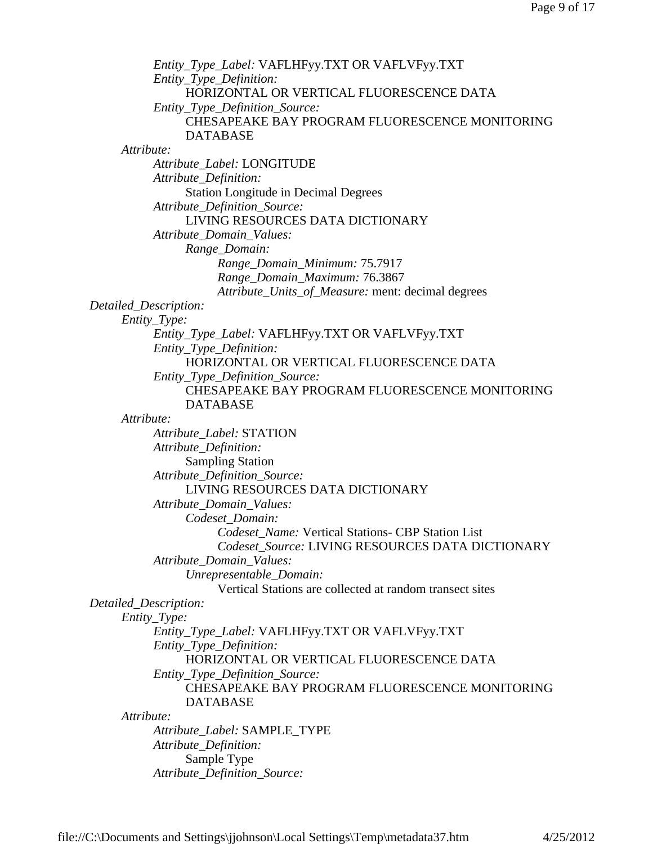*Entity\_Type\_Label:* VAFLHFyy.TXT OR VAFLVFyy.TXT *Entity\_Type\_Definition:* HORIZONTAL OR VERTICAL FLUORESCENCE DATA *Entity\_Type\_Definition\_Source:* CHESAPEAKE BAY PROGRAM FLUORESCENCE MONITORING DATABASE *Attribute: Attribute\_Label:* LONGITUDE *Attribute\_Definition:* Station Longitude in Decimal Degrees *Attribute\_Definition\_Source:* LIVING RESOURCES DATA DICTIONARY *Attribute\_Domain\_Values: Range\_Domain: Range\_Domain\_Minimum:* 75.7917 *Range\_Domain\_Maximum:* 76.3867 *Attribute\_Units\_of\_Measure:* ment: decimal degrees *Detailed\_Description: Entity\_Type: Entity\_Type\_Label:* VAFLHFyy.TXT OR VAFLVFyy.TXT *Entity\_Type\_Definition:* HORIZONTAL OR VERTICAL FLUORESCENCE DATA *Entity\_Type\_Definition\_Source:* CHESAPEAKE BAY PROGRAM FLUORESCENCE MONITORING DATABASE *Attribute: Attribute\_Label:* STATION *Attribute\_Definition:* Sampling Station *Attribute\_Definition\_Source:* LIVING RESOURCES DATA DICTIONARY *Attribute\_Domain\_Values: Codeset\_Domain: Codeset\_Name:* Vertical Stations- CBP Station List *Codeset\_Source:* LIVING RESOURCES DATA DICTIONARY *Attribute\_Domain\_Values: Unrepresentable\_Domain:* Vertical Stations are collected at random transect sites *Detailed\_Description: Entity\_Type: Entity\_Type\_Label:* VAFLHFyy.TXT OR VAFLVFyy.TXT *Entity\_Type\_Definition:* HORIZONTAL OR VERTICAL FLUORESCENCE DATA *Entity\_Type\_Definition\_Source:* CHESAPEAKE BAY PROGRAM FLUORESCENCE MONITORING DATABASE *Attribute: Attribute\_Label:* SAMPLE\_TYPE *Attribute\_Definition:* Sample Type *Attribute\_Definition\_Source:*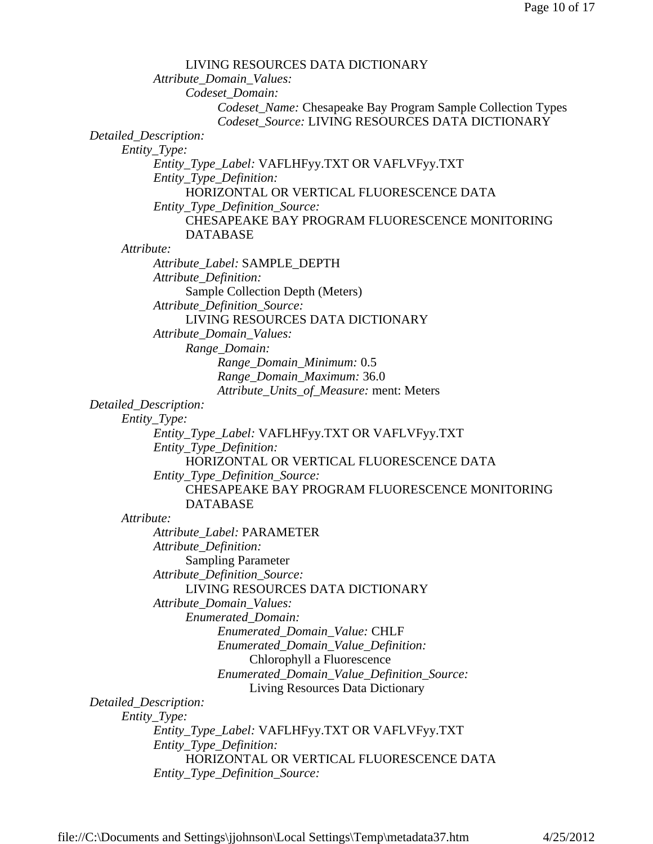| LIVING RESOURCES DATA DICTIONARY                             |
|--------------------------------------------------------------|
| Attribute_Domain_Values:                                     |
| Codeset_Domain:                                              |
| Codeset_Name: Chesapeake Bay Program Sample Collection Types |
| Codeset_Source: LIVING RESOURCES DATA DICTIONARY             |
| Detailed_Description:                                        |
| Entity_Type:                                                 |
| Entity_Type_Label: VAFLHFyy.TXT OR VAFLVFyy.TXT              |
| Entity_Type_Definition:                                      |
| HORIZONTAL OR VERTICAL FLUORESCENCE DATA                     |
| Entity_Type_Definition_Source:                               |
| CHESAPEAKE BAY PROGRAM FLUORESCENCE MONITORING               |
| <b>DATABASE</b>                                              |
| Attribute:                                                   |
| Attribute_Label: SAMPLE_DEPTH                                |
| Attribute_Definition:                                        |
| Sample Collection Depth (Meters)                             |
| Attribute_Definition_Source:                                 |
| LIVING RESOURCES DATA DICTIONARY                             |
| Attribute_Domain_Values:                                     |
| Range_Domain:                                                |
| Range_Domain_Minimum: 0.5                                    |
| Range_Domain_Maximum: 36.0                                   |
| Attribute_Units_of_Measure: ment: Meters                     |
| Detailed_Description:                                        |
| Entity_Type:                                                 |
| Entity_Type_Label: VAFLHFyy.TXT OR VAFLVFyy.TXT              |
| Entity_Type_Definition:                                      |
| HORIZONTAL OR VERTICAL FLUORESCENCE DATA                     |
| Entity_Type_Definition_Source:                               |
| CHESAPEAKE BAY PROGRAM FLUORESCENCE MONITORING               |
| <b>DATABASE</b>                                              |
| Attribute:                                                   |
| Attribute_Label: PARAMETER                                   |
| Attribute_Definition:                                        |
| <b>Sampling Parameter</b>                                    |
| Attribute_Definition_Source:                                 |
| LIVING RESOURCES DATA DICTIONARY                             |
| Attribute_Domain_Values:                                     |
| Enumerated_Domain:                                           |
| Enumerated_Domain_Value: CHLF                                |
| Enumerated_Domain_Value_Definition:                          |
| Chlorophyll a Fluorescence                                   |
| Enumerated_Domain_Value_Definition_Source:                   |
| Living Resources Data Dictionary                             |
| Detailed_Description:                                        |
| Entity_Type:                                                 |
| Entity_Type_Label: VAFLHFyy.TXT OR VAFLVFyy.TXT              |
| Entity_Type_Definition:                                      |
| HORIZONTAL OR VERTICAL FLUORESCENCE DATA                     |
| Entity_Type_Definition_Source:                               |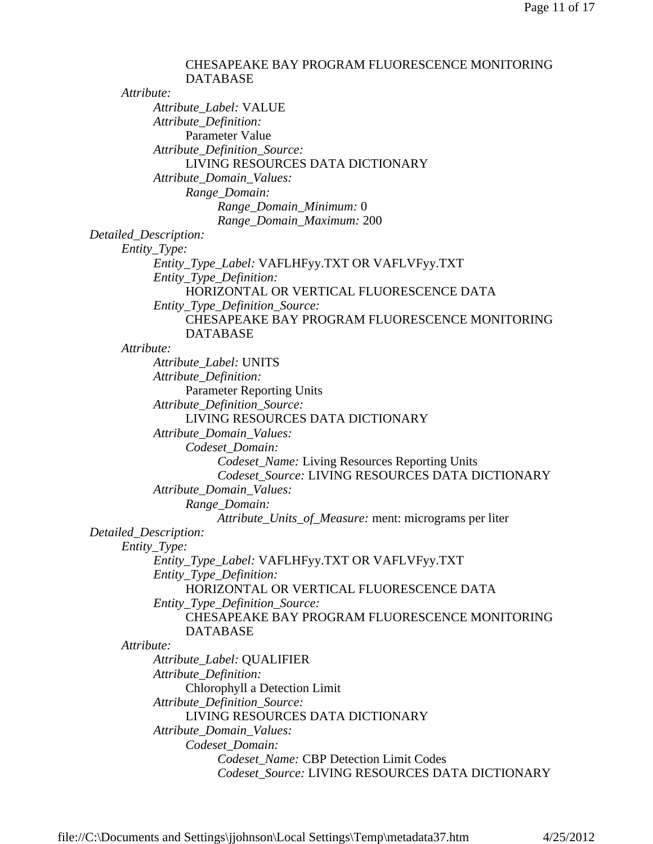CHESAPEAKE BAY PROGRAM FLUORESCENCE MONITORING DATABASE *Attribute: Attribute\_Label:* VALUE *Attribute\_Definition:* Parameter Value *Attribute\_Definition\_Source:* LIVING RESOURCES DATA DICTIONARY *Attribute\_Domain\_Values: Range\_Domain: Range\_Domain\_Minimum:* 0 *Range\_Domain\_Maximum:* 200 *Detailed\_Description: Entity\_Type: Entity\_Type\_Label:* VAFLHFyy.TXT OR VAFLVFyy.TXT *Entity\_Type\_Definition:* HORIZONTAL OR VERTICAL FLUORESCENCE DATA *Entity\_Type\_Definition\_Source:* CHESAPEAKE BAY PROGRAM FLUORESCENCE MONITORING DATABASE *Attribute: Attribute\_Label:* UNITS *Attribute\_Definition:* Parameter Reporting Units *Attribute\_Definition\_Source:* LIVING RESOURCES DATA DICTIONARY *Attribute\_Domain\_Values: Codeset\_Domain: Codeset\_Name:* Living Resources Reporting Units *Codeset\_Source:* LIVING RESOURCES DATA DICTIONARY *Attribute\_Domain\_Values: Range\_Domain: Attribute\_Units\_of\_Measure:* ment: micrograms per liter *Detailed\_Description: Entity\_Type: Entity\_Type\_Label:* VAFLHFyy.TXT OR VAFLVFyy.TXT *Entity\_Type\_Definition:* HORIZONTAL OR VERTICAL FLUORESCENCE DATA *Entity\_Type\_Definition\_Source:* CHESAPEAKE BAY PROGRAM FLUORESCENCE MONITORING DATABASE *Attribute: Attribute\_Label:* QUALIFIER *Attribute\_Definition:* Chlorophyll a Detection Limit *Attribute\_Definition\_Source:* LIVING RESOURCES DATA DICTIONARY *Attribute\_Domain\_Values: Codeset\_Domain: Codeset\_Name:* CBP Detection Limit Codes *Codeset\_Source:* LIVING RESOURCES DATA DICTIONARY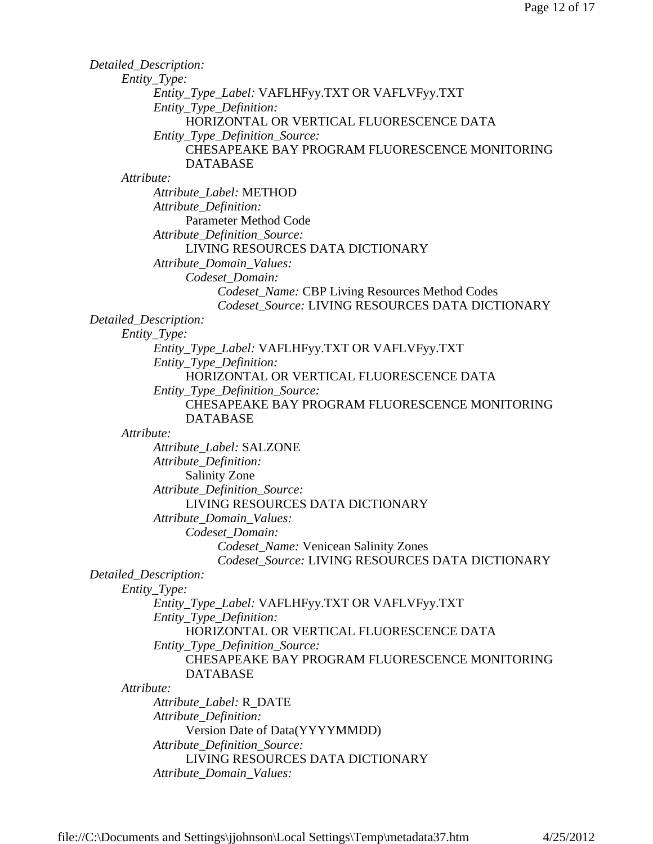| Detailed_Description:                            |
|--------------------------------------------------|
| Entity_Type:                                     |
| Entity_Type_Label: VAFLHFyy.TXT OR VAFLVFyy.TXT  |
| Entity_Type_Definition:                          |
| HORIZONTAL OR VERTICAL FLUORESCENCE DATA         |
| Entity_Type_Definition_Source:                   |
| CHESAPEAKE BAY PROGRAM FLUORESCENCE MONITORING   |
| <b>DATABASE</b>                                  |
| Attribute:                                       |
| Attribute Label: METHOD                          |
| Attribute_Definition:                            |
| <b>Parameter Method Code</b>                     |
| Attribute_Definition_Source:                     |
| LIVING RESOURCES DATA DICTIONARY                 |
| Attribute_Domain_Values:                         |
| Codeset Domain:                                  |
| Codeset_Name: CBP Living Resources Method Codes  |
| Codeset_Source: LIVING RESOURCES DATA DICTIONARY |
| Detailed_Description:                            |
| Entity_Type:                                     |
| Entity_Type_Label: VAFLHFyy.TXT OR VAFLVFyy.TXT  |
| Entity_Type_Definition:                          |
| HORIZONTAL OR VERTICAL FLUORESCENCE DATA         |
| Entity_Type_Definition_Source:                   |
| CHESAPEAKE BAY PROGRAM FLUORESCENCE MONITORING   |
| <b>DATABASE</b>                                  |
| Attribute:                                       |
| Attribute_Label: SALZONE                         |
| Attribute_Definition:                            |
| <b>Salinity Zone</b>                             |
| Attribute_Definition_Source:                     |
| LIVING RESOURCES DATA DICTIONARY                 |
| Attribute_Domain_Values:                         |
| Codeset Domain:                                  |
| Codeset_Name: Venicean Salinity Zones            |
| Codeset_Source: LIVING RESOURCES DATA DICTIONARY |
| Detailed_Description:                            |
| $Entity\_Type$ :                                 |
| Entity_Type_Label: VAFLHFyy.TXT OR VAFLVFyy.TXT  |
| Entity_Type_Definition:                          |
| HORIZONTAL OR VERTICAL FLUORESCENCE DATA         |
| Entity_Type_Definition_Source:                   |
| CHESAPEAKE BAY PROGRAM FLUORESCENCE MONITORING   |
| <b>DATABASE</b>                                  |
| Attribute:                                       |
| Attribute_Label: R_DATE                          |
| Attribute_Definition:                            |
| Version Date of Data(YYYYMMDD)                   |
| Attribute_Definition_Source:                     |
| LIVING RESOURCES DATA DICTIONARY                 |
| Attribute_Domain_Values:                         |
|                                                  |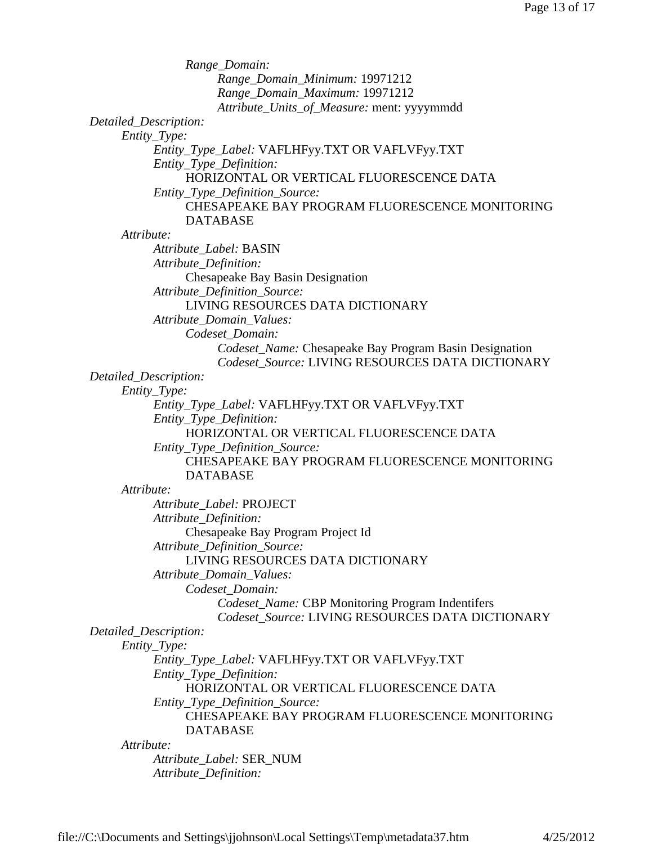| Range_Domain:                                                       |
|---------------------------------------------------------------------|
| Range_Domain_Minimum: 19971212                                      |
| Range_Domain_Maximum: 19971212                                      |
| Attribute_Units_of_Measure: ment: yyyymmdd                          |
| Detailed_Description:                                               |
| Entity_Type:                                                        |
| Entity_Type_Label: VAFLHFyy.TXT OR VAFLVFyy.TXT                     |
| Entity_Type_Definition:                                             |
| HORIZONTAL OR VERTICAL FLUORESCENCE DATA                            |
| Entity_Type_Definition_Source:                                      |
| <b>CHESAPEAKE BAY PROGRAM FLUORESCENCE MONITORING</b>               |
| <b>DATABASE</b>                                                     |
| Attribute:                                                          |
| Attribute_Label: BASIN                                              |
| Attribute_Definition:                                               |
| Chesapeake Bay Basin Designation                                    |
| Attribute_Definition_Source:                                        |
| LIVING RESOURCES DATA DICTIONARY                                    |
| Attribute_Domain_Values:                                            |
| Codeset_Domain:                                                     |
| Codeset_Name: Chesapeake Bay Program Basin Designation              |
| Codeset Source: LIVING RESOURCES DATA DICTIONARY                    |
| Detailed_Description:                                               |
| Entity_Type:                                                        |
| Entity_Type_Label: VAFLHFyy.TXT OR VAFLVFyy.TXT                     |
| Entity_Type_Definition:<br>HORIZONTAL OR VERTICAL FLUORESCENCE DATA |
| Entity_Type_Definition_Source:                                      |
| CHESAPEAKE BAY PROGRAM FLUORESCENCE MONITORING                      |
| <b>DATABASE</b>                                                     |
| Attribute:                                                          |
| Attribute Label: PROJECT                                            |
| Attribute_Definition:                                               |
| Chesapeake Bay Program Project Id                                   |
| Attribute_Definition_Source:                                        |
| LIVING RESOURCES DATA DICTIONARY                                    |
| Attribute_Domain_Values:                                            |
| Codeset_Domain:                                                     |
| Codeset_Name: CBP Monitoring Program Indentifers                    |
| Codeset Source: LIVING RESOURCES DATA DICTIONARY                    |
| Detailed_Description:                                               |
| Entity_Type:                                                        |
| Entity_Type_Label: VAFLHFyy.TXT OR VAFLVFyy.TXT                     |
| Entity_Type_Definition:<br>HORIZONTAL OR VERTICAL FLUORESCENCE DATA |
| Entity_Type_Definition_Source:                                      |
| CHESAPEAKE BAY PROGRAM FLUORESCENCE MONITORING                      |
| <b>DATABASE</b>                                                     |
| Attribute:                                                          |
| Attribute_Label: SER_NUM                                            |
| Attribute_Definition:                                               |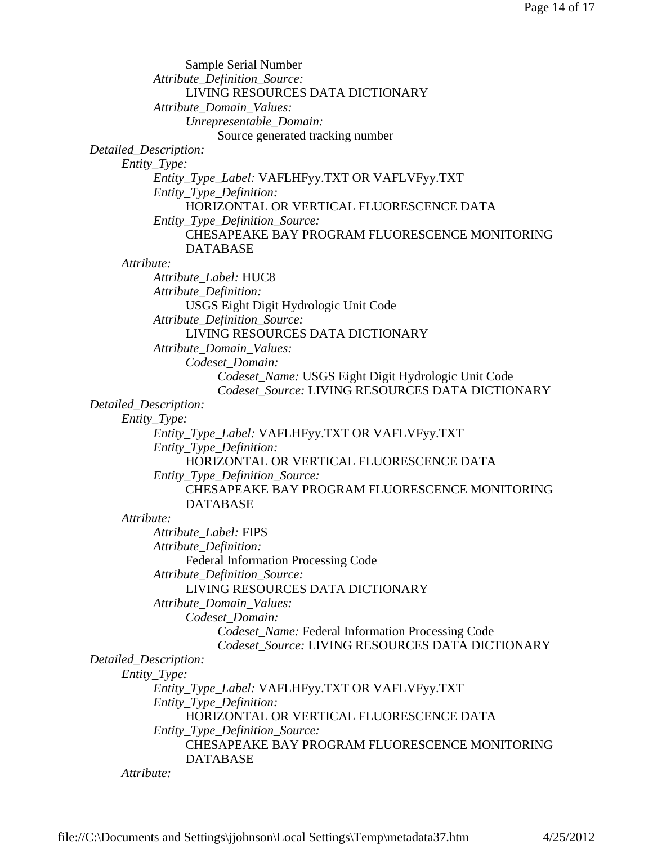| Sample Serial Number                                             |  |
|------------------------------------------------------------------|--|
| Attribute_Definition_Source:                                     |  |
| LIVING RESOURCES DATA DICTIONARY                                 |  |
| Attribute_Domain_Values:                                         |  |
| Unrepresentable_Domain:                                          |  |
| Source generated tracking number                                 |  |
| Detailed_Description:                                            |  |
| Entity_Type:                                                     |  |
| Entity_Type_Label: VAFLHFyy.TXT OR VAFLVFyy.TXT                  |  |
| Entity_Type_Definition:                                          |  |
| HORIZONTAL OR VERTICAL FLUORESCENCE DATA                         |  |
| Entity_Type_Definition_Source:                                   |  |
| CHESAPEAKE BAY PROGRAM FLUORESCENCE MONITORING                   |  |
| <b>DATABASE</b>                                                  |  |
| Attribute:                                                       |  |
| Attribute_Label: HUC8                                            |  |
| Attribute_Definition:                                            |  |
| USGS Eight Digit Hydrologic Unit Code                            |  |
| Attribute_Definition_Source:<br>LIVING RESOURCES DATA DICTIONARY |  |
|                                                                  |  |
| Attribute_Domain_Values:<br>Codeset Domain:                      |  |
| Codeset_Name: USGS Eight Digit Hydrologic Unit Code              |  |
| Codeset_Source: LIVING RESOURCES DATA DICTIONARY                 |  |
| Detailed_Description:                                            |  |
| Entity_Type:                                                     |  |
| Entity_Type_Label: VAFLHFyy.TXT OR VAFLVFyy.TXT                  |  |
| Entity_Type_Definition:                                          |  |
| HORIZONTAL OR VERTICAL FLUORESCENCE DATA                         |  |
| Entity_Type_Definition_Source:                                   |  |
| CHESAPEAKE BAY PROGRAM FLUORESCENCE MONITORING                   |  |
| <b>DATABASE</b>                                                  |  |
| Attribute:                                                       |  |
| Attribute_Label: FIPS                                            |  |
| Attribute_Definition:                                            |  |
| <b>Federal Information Processing Code</b>                       |  |
| Attribute_Definition_Source:                                     |  |
| LIVING RESOURCES DATA DICTIONARY                                 |  |
| Attribute_Domain_Values:                                         |  |
| Codeset_Domain:                                                  |  |
| Codeset_Name: Federal Information Processing Code                |  |
| Codeset_Source: LIVING RESOURCES DATA DICTIONARY                 |  |
| Detailed_Description:                                            |  |
| Entity_Type:                                                     |  |
| Entity_Type_Label: VAFLHFyy.TXT OR VAFLVFyy.TXT                  |  |
| Entity_Type_Definition:                                          |  |
| HORIZONTAL OR VERTICAL FLUORESCENCE DATA                         |  |
| Entity_Type_Definition_Source:                                   |  |
| CHESAPEAKE BAY PROGRAM FLUORESCENCE MONITORING                   |  |
| <b>DATABASE</b>                                                  |  |
| Attribute:                                                       |  |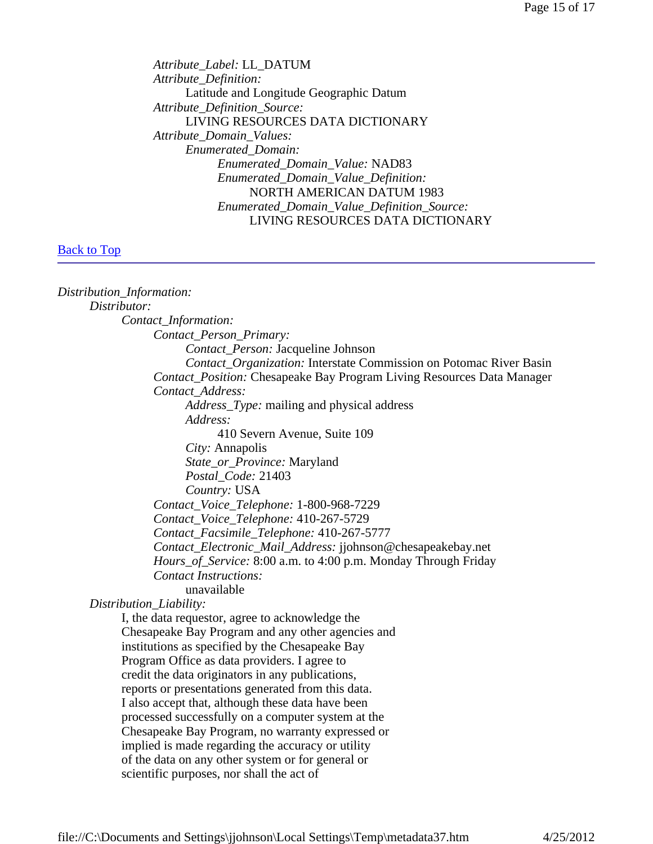*Attribute\_Label:* LL\_DATUM *Attribute\_Definition:* Latitude and Longitude Geographic Datum *Attribute\_Definition\_Source:* LIVING RESOURCES DATA DICTIONARY *Attribute\_Domain\_Values: Enumerated\_Domain: Enumerated\_Domain\_Value:* NAD83 *Enumerated\_Domain\_Value\_Definition:* NORTH AMERICAN DATUM 1983 *Enumerated\_Domain\_Value\_Definition\_Source:* LIVING RESOURCES DATA DICTIONARY

#### **Back to Top**

*Distribution\_Information: Distributor: Contact\_Information: Contact\_Person\_Primary: Contact\_Person:* Jacqueline Johnson *Contact\_Organization:* Interstate Commission on Potomac River Basin *Contact\_Position:* Chesapeake Bay Program Living Resources Data Manager *Contact\_Address: Address\_Type:* mailing and physical address *Address:* 410 Severn Avenue, Suite 109 *City:* Annapolis *State\_or\_Province:* Maryland *Postal\_Code:* 21403 *Country:* USA *Contact\_Voice\_Telephone:* 1-800-968-7229 *Contact\_Voice\_Telephone:* 410-267-5729 *Contact\_Facsimile\_Telephone:* 410-267-5777 *Contact\_Electronic\_Mail\_Address:* jjohnson@chesapeakebay.net *Hours\_of\_Service:* 8:00 a.m. to 4:00 p.m. Monday Through Friday *Contact Instructions:* unavailable *Distribution\_Liability:* I, the data requestor, agree to acknowledge the Chesapeake Bay Program and any other agencies and institutions as specified by the Chesapeake Bay Program Office as data providers. I agree to credit the data originators in any publications, reports or presentations generated from this data. I also accept that, although these data have been processed successfully on a computer system at the Chesapeake Bay Program, no warranty expressed or implied is made regarding the accuracy or utility of the data on any other system or for general or scientific purposes, nor shall the act of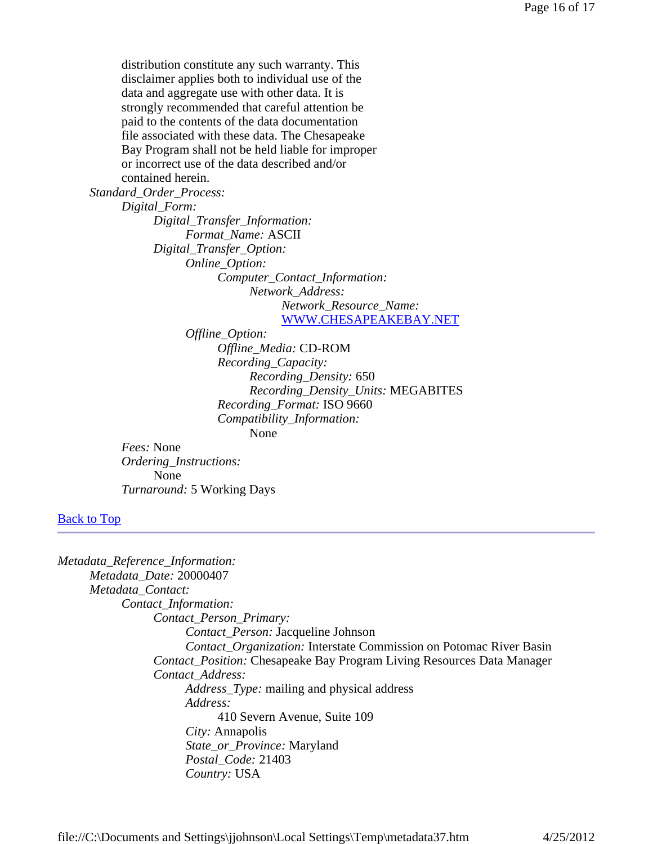distribution constitute any such warranty. This disclaimer applies both to individual use of the data and aggregate use with other data. It is strongly recommended that careful attention be paid to the contents of the data documentation file associated with these data. The Chesapeake Bay Program shall not be held liable for improper or incorrect use of the data described and/or contained herein.

*Standard\_Order\_Process:*

*Digital\_Form: Digital\_Transfer\_Information: Format\_Name:* ASCII *Digital\_Transfer\_Option: Online\_Option: Computer\_Contact\_Information: Network\_Address: Network\_Resource\_Name:* WWW.CHESAPEAKEBAY.NET

*Offline\_Option: Offline\_Media:* CD-ROM *Recording\_Capacity: Recording\_Density:* 650 *Recording\_Density\_Units:* MEGABITES *Recording\_Format:* ISO 9660 *Compatibility\_Information:* None

*Fees:* None *Ordering\_Instructions:* None *Turnaround:* 5 Working Days

### **Back to Top**

| Metadata_Reference_Information:                                               |
|-------------------------------------------------------------------------------|
| Metadata Date: 20000407                                                       |
| Metadata_Contact:                                                             |
| Contact_Information:                                                          |
| Contact_Person_Primary:                                                       |
| <i>Contact_Person:</i> Jacqueline Johnson                                     |
| <i>Contact_Organization:</i> Interstate Commission on Potomac River Basin     |
| <i>Contact Position:</i> Chesapeake Bay Program Living Resources Data Manager |
| Contact Address:                                                              |
| Address_Type: mailing and physical address                                    |
| Address:                                                                      |
| 410 Severn Avenue, Suite 109                                                  |
| <i>City:</i> Annapolis                                                        |
| State_or_Province: Maryland                                                   |
| Postal_Code: 21403                                                            |
| Country: USA                                                                  |